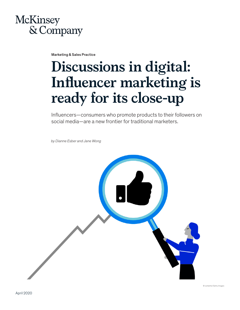## **McKinsey** & Company

Marketing & Sales Practice

# **Discussions in digital: Influencer marketing is ready for its close-up**

Influencers—consumers who promote products to their followers on social media—are a new frontier for traditional marketers.

*by Dianne Esber and Jane Wong* 



© sorbetto/Getty Images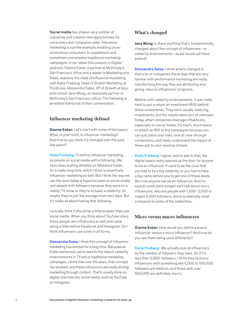Social media has shaken up a number of industries and created new opportunities for consumers and companies alike. Influencer marketing is a prime example, enabling onceanonymous consumers to supplement and sometimes overshadow traditional marketing campaigns. In our latest *Discussions in Digital*  podcast, Dianne Esber, a partner at McKinsey's San Francisco office and a leader in Marketing and Sales, explores the state of influencer marketing with Katie Freiberg, head of Growth Marketing at ThirdLove; Alessandra Sales, VP of Growth at Ipsy; and cohost Jane Wong, an associate partner in McKinsey's San Francisco office. The following is an edited transcript of their conversation.

#### **Influencer marketing defined**

Dianne Esber: Let's start with some of the basics. What, in your mind, is influencer marketing? And how do you think it's changed over the past few years?

Katie Freiberg: I'd define influencer marketing as people on social media with a following. We have been putting athletes on Wheaties boxes for a really long time, which I think is essentially influencer marketing as well. But I think the way we use the term today is hyperfocused on social media and people with followers because they were on a reality-TV show or they're actually a celebrity. Or maybe they're just the average mom next door. But it's really all about having that following.

I actually think it should be a little broader than just social media. When you think about YouTube stars, those people are influencers as well and came along a little before Facebook and Instagram. So I think influencers can come in all forms.

Alessandra Sales: I think this concept of influencer marketing has existed for a long time. Because as Katie mentioned, we're used to the idea of celebrity endorsements in TV ads or traditional marketing campaigns. I think that over the years, that concept has evolved, and these influencers are really driving marketing through content. That's usually done on digital channels like social media, such as YouTube or Instagram.

#### **What's changed**

Jane Wong: Is there anything that's fundamentally changed about the concept of influencers—or celebrity endorsements—as we would call them before?

Alessandra Sales: I think what's changed is that a lot of companies these days that are very familiar with performance marketing are really transforming the way they are attributing and giving value to influencers' programs.

Before, with celebrity endorsements, it was really hard to put a return on investment (ROI) behind these investments. They were usually really big investments, but the results were sort of unknown. Today, when companies leverage influencers, especially on social media, it's much, much easier to attach an ROI to the campaigns because you can just place your links, look at view-through conversions, and really understand the impact of these ads to your revenue stream.

Katie Freiberg: I agree, and to add to that, the digital space really opened up the door for anyone to be an influencer. It used to be the case that you had to be a big celebrity, or you had to have a big name behind you to get one of these deals. But now anyone can be an influencer. And I'm sure at some point tonight we'll talk about micro influencers, who are people with 1,500–2,000 or maybe 5,000 followers, which is relatively small compared to some of the celebrities.

#### **Micro versus macro influencers**

Dianne Esber: How would you define a macro influencer versus a micro influencer? And how do you see them being used differently?

Katie Freiberg: We actually look at influencers by the number of followers they have. So if it's less than 5,000, followers, I think they're micro. Influencers with something like 5,000 to 100,000 followers are medium, and those with over 500,000 are definitely macro.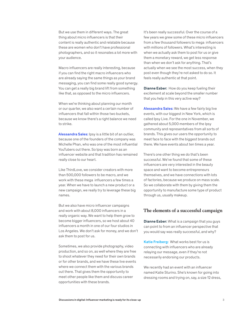But we use them in different ways. The great thing about micro influencers is that their content is really authentic and relatable because these are women who don't have professional photographers, and so it resonates a lot more with your audience.

Macro influencers are really interesting, because if you can find the right macro influencers who are already saying the same things as your brand messaging, you can find some really good synergy. You can get a really big brand lift from something like that, as opposed to the micro influencers.

When we're thinking about planning our month or our quarter, we also want a certain number of influencers that fall within those two buckets, because we know there's a right balance we need to strike.

Alessandra Sales: Ipsy is a little bit of an outlier, because one of the founders of the company was Michelle Phan, who was one of the most influential YouTubers out there. So Ipsy was born as an influencer website and that tradition has remained really close to our heart.

Like ThirdLove, we consider creators with more than 500,000 followers to be macro, and we work with these mega influencers a few times a year. When we have to launch a new product or a new campaign, we really try to leverage these big names.

But we also have micro influencer campaigns and work with about 8,000 influencers in a really organic way. We want to help them grow to become bigger influencers, so we host about 40 influencers a month in one of our four studios in Los Angeles. We don't ask for money, and we don't ask them to post for us.

Sometimes, we also provide photography, video production, and so on, as well where they are free to shoot whatever they need for their own brands or for other brands, and we have these live events where we connect them with the various brands out there. That gives them the opportunity to meet other people like them and discuss career opportunities with these brands.

It's been really successful. Over the course of a few years we grew some of these micro influencers from a few thousand followers to mega influencers with millions of followers. What's interesting is when we actually ask them to post for us or give them a monetary reward, we get less response than when we don't ask for anything. That's actually when we see the most success, when they post even though they're not asked to do so. It feels really authentic at that point.

Dianne Esber: How do you keep fueling their excitement at scale beyond the smaller number that you help in this very active way?

Alessandra Sales: We have a few fairly big live events, with our biggest in New York, which is called Ipsy Live. For the one in November, we gathered about 5,000 members of the Ipsy community and representatives from all sorts of brands. This gives our users the opportunity to meet face to face with the biggest brands out there. We have events about ten times a year.

There's one other thing we do that's been successful. We've found that some of these influencers are very interested in the beauty space and want to become entrepreneurs themselves, and we have connections with lots of factories, because we produce on mass scale. So we collaborate with them by giving them the opportunity to manufacture some type of product through us, usually makeup.

#### **The elements of a successful campaign**

Dianne Esber: What is a campaign that you guys can point to from an influencer perspective that you would say was really successful, and why?

Katie Freiberg: What works best for us is connecting with influencers who are already relaying our message, even if they're not necessarily endorsing our products.

We recently had an event with an influencer named Katie Sturino. She's known for going into dressing rooms and trying on, say, a size 12 dress,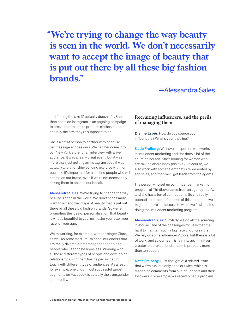**"We're trying to change the way beauty is seen in the world. We don't necessarily want to accept the image of beauty that is put out there by all these big fashion brands."**

—Alessandra Sales

and finding the size 12 actually doesn't fit. She then posts on Instagram in an ongoing campaign to pressure retailers to produce clothes that are actually the size they're supposed to be.

She's a great person to partner with because her message echoes ours. We had her come into our New York store for an interview with a live audience. It was a really great event, but it was more than just getting an Instagram post; it was actually a relationship-building exercise with her, because it's important for us to find people who will champion our brand, even if we're not necessarily asking them to post on our behalf.

Alessandra Sales: We're trying to change the way beauty is seen in the world. We don't necessarily want to accept the image of beauty that is put out there by all these big fashion brands. So we're promoting the idea of personalization, that beauty is what's beautiful to you, no matter your size, your race, or your age.

We're working, for example, with the singer Ciara, as well as some medium- to nano influencers that are really diverse, from transgender people to people who used to be homeless. Working with all these different types of people and developing relationships with them has helped us get in touch with different type of audiences. As a result, for example, one of our most successful target segments on Facebook is actually the transgender community.

### **Recruiting influencers, and the perils of managing them**

Dianne Esber: How do you source your influencers? What's your pipeline?

Katie Freiberg: We have one person who works in influencer marketing and she does a lot of the sourcing herself. She's looking for women who are talking about body positivity. Of course, we also work with some talent that is represented by agencies, and then we'll get leads from the agents.

The person who set up our influencer marketing program at ThirdLove came from an agency in L.A., and she has a ton of connections. So she really opened up the door for some of this talent that we might not have had access to when we first started doing the influencer marketing program.

Alessandra Sales: Similarly, we do all the sourcing in-house. One of the challenges for us is that it's hard to maintain such a big network of creators. We rely on some influencers' tools, but there is a lot of work, and so our team is fairly large. I think our creator-plus-experiential team is probably more than ten people.

Katie Freiberg: I just thought of a related issue that we've run into only once or twice, which is managing comments from our influencers and their followers. For example, we recently had a problem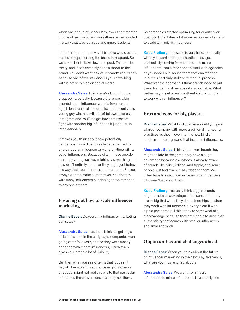when one of our influencers' followers commented on one of her posts, and our influencer responded in a way that was just rude and unprofessional.

It didn't represent the way ThirdLove would expect someone representing the brand to respond. So we asked her to take down the post. That can be tricky, and it can certainly pose a threat to the brand. You don't want risk your brand's reputation because one of the influencers you're working with is not very nice on social media.

Alessandra Sales: I think you've brought up a great point, actually, because there was a big scandal in the influencer world a few months ago. I don't recall all the details, but basically this young guy who has millions of followers across Instagram and YouTube got into some sort of fight with another big influencer. It just blew up internationally.

It makes you think about how potentially dangerous it could be to really get attached to one particular influencer or work full-time with a set of influencers. Because often, these people are really young, so they might say something that they don't entirely mean, or they might just behave in a way that doesn't represent the brand. So you always want to make sure that you collaborate with many influencers but don't get too attached to any one of them.

#### **Figuring out how to scale influencer marketing**

Dianne Esber: Do you think influencer marketing can scale?

Alessandra Sales: Yes, but I think it's getting a little bit harder. In the early days, companies were going after followers, and so they were mostly engaged with macro influencers, which really gives your brand a lot of visibility.

But then what you see often is that it doesn't pay off, because this audience might not be as engaged, might not really relate to that particular influencer, the conversions are really not there.

So companies started optimizing for quality over quantity, but it takes a lot more resources internally to scale with micro influencers.

Katie Freiberg: The scale is very hard, especially when you want a really authentic message, particularly coming from some of the micro influencers. You either need to work with agencies, or you need an in-house team that can manage it, but it's certainly still a very manual process. Whatever the approach, I think brands need to put the effort behind it because it's so valuable. What better way to get a really authentic story out than to work with an influencer?

#### **Pros and cons for big players**

**Dianne Esber:** What kind of advice would you give a larger company with more traditional marketing practices as they move into this new kind of modern marketing world that includes influencers?

Alessandra Sales: I think that even though they might be late to the game, they have a huge advantage because everybody is already aware of brands like Nike, Adidas, and Apple, and some people just feel really, really close to them. We often have to introduce our brands to influencers who aren't aware of them.

Katie Freiberg: I actually think bigger brands might be at a disadvantage in the sense that they are so big that when they do partnerships or when they work with influencers, it's very clear it was a paid partnership. I think they're somewhat at a disadvantage because they aren't able to drive that authenticity that comes with smaller influencers and smaller brands.

#### **Opportunities and challenges ahead**

Dianne Esber: When you think about the future of influencer marketing in the next, say, five years, what are you most excited about?

Alessandra Sales: We went from macro influencers to micro influencers. I eventually see